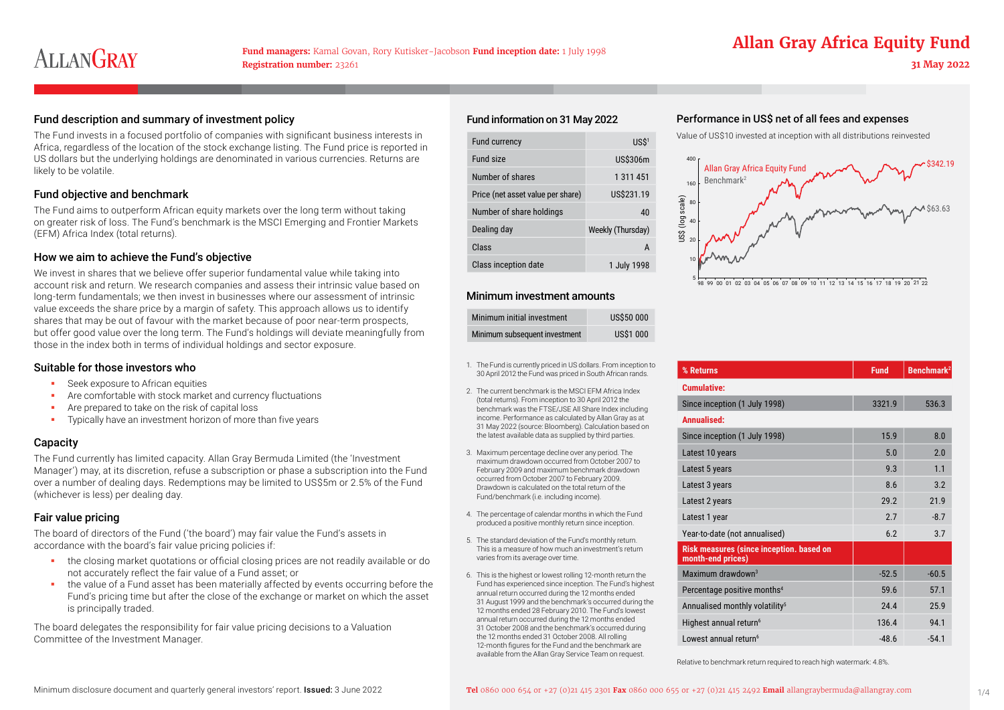# **Fund managers:** Kamal Govan, Rory Kutisker-Jacobson **Fund inception date:** 1 July 1998 **Allan Gray Africa Equity Fund**

### Fund description and summary of investment policy expenses expenses Fund information on 31 May 2022 Performance in US\$ net of all fees and expenses

The Fund invests in a focused portfolio of companies with significant business interests in Africa, regardless of the location of the stock exchange listing. The Fund price is reported in US dollars but the underlying holdings are denominated in various currencies. Returns are likely to be volatile.

### Fund objective and benchmark

The Fund aims to outperform African equity markets over the long term without taking on greater risk of loss. The Fund's benchmark is the MSCI Emerging and Frontier Markets (EFM) Africa Index (total returns).

### How we aim to achieve the Fund's objective

We invest in shares that we believe offer superior fundamental value while taking into account risk and return. We research companies and assess their intrinsic value based on long-term fundamentals; we then invest in businesses where our assessment of intrinsic value exceeds the share price by a margin of safety. This approach allows us to identify shares that may be out of favour with the market because of poor near-term prospects, but offer good value over the long term. The Fund's holdings will deviate meaningfully from those in the index both in terms of individual holdings and sector exposure.

#### Suitable for those investors who

- **Seek exposure to African equities**
- **Are comfortable with stock market and currency fluctuations**
- **Are prepared to take on the risk of capital loss**
- Typically have an investment horizon of more than five years

### **Capacity**

The Fund currently has limited capacity. Allan Gray Bermuda Limited (the 'Investment Manager') may, at its discretion, refuse a subscription or phase a subscription into the Fund over a number of dealing days. Redemptions may be limited to US\$5m or 2.5% of the Fund (whichever is less) per dealing day.

## Fair value pricing

The board of directors of the Fund ('the board') may fair value the Fund's assets in accordance with the board's fair value pricing policies if:

- the closing market quotations or official closing prices are not readily available or do not accurately reflect the fair value of a Fund asset; or
- the value of a Fund asset has been materially affected by events occurring before the Fund's pricing time but after the close of the exchange or market on which the asset is principally traded.

The board delegates the responsibility for fair value pricing decisions to a Valuation Committee of the Investment Manager.

#### Fund information on 31 May 2022

| Fund currency                     | USS <sup>1</sup>  |
|-----------------------------------|-------------------|
| Fund size                         | US\$306m          |
| Number of shares                  | 1 311 451         |
| Price (net asset value per share) | US\$231.19        |
| Number of share holdings          | 40                |
| Dealing day                       | Weekly (Thursday) |
| Class                             | A                 |
| Class inception date              | 1 July 1998       |

### Minimum investment amounts

| Minimum initial investment    | <b>US\$50 000</b> |
|-------------------------------|-------------------|
| Minimum subsequent investment | <b>US\$1 000</b>  |

- 1. The Fund is currently priced in US dollars. From inception to 30 April 2012 the Fund was priced in South African rands.
- 2. The current benchmark is the MSCI EFM Africa Index (total returns). From inception to 30 April 2012 the benchmark was the FTSE/JSE All Share Index including income. Performance as calculated by Allan Gray as at 31 May 2022 (source: Bloomberg). Calculation based on the latest available data as supplied by third parties.
- 3. Maximum percentage decline over any period. The maximum drawdown occurred from October 2007 to February 2009 and maximum benchmark drawdown occurred from October 2007 to February 2009. Drawdown is calculated on the total return of the Fund/benchmark (i.e. including income).
- 4. The percentage of calendar months in which the Fund produced a positive monthly return since inception.
- 5. The standard deviation of the Fund's monthly return. This is a measure of how much an investment's return varies from its average over time.
- 6. This is the highest or lowest rolling 12-month return the Fund has experienced since inception. The Fund's highest annual return occurred during the 12 months ended 31 August 1999 and the benchmark's occurred during the 12 months ended 28 February 2010. The Fund's lowest annual return occurred during the 12 months ended 31 October 2008 and the benchmark's occurred during the 12 months ended 31 October 2008. All rolling 12-month figures for the Fund and the benchmark are available from the Allan Gray Service Team on request.

Value of US\$10 invested at inception with all distributions reinvested



| % Returns                                                            | <b>Fund</b> | <b>Benchmark<sup>2</sup></b> |
|----------------------------------------------------------------------|-------------|------------------------------|
| <b>Cumulative:</b>                                                   |             |                              |
| Since inception (1 July 1998)                                        | 3321.9      | 536.3                        |
| Annualised:                                                          |             |                              |
| Since inception (1 July 1998)                                        | 15.9        | 8.0                          |
| Latest 10 years                                                      | 5.0         | 2.0                          |
| Latest 5 years                                                       | 9.3         | 1.1                          |
| Latest 3 years                                                       | 8.6         | 3.2                          |
| Latest 2 years                                                       | 29.2        | 21.9                         |
| Latest 1 year                                                        | 2.7         | $-8.7$                       |
| Year-to-date (not annualised)                                        | 6.2         | 3.7                          |
| <b>Risk measures (since inception. based on</b><br>month-end prices) |             |                              |
| Maximum drawdown $3$                                                 | $-52.5$     | $-60.5$                      |
| Percentage positive months <sup>4</sup>                              | 59.6        | 57.1                         |
| Annualised monthly volatility <sup>5</sup>                           | 24.4        | 25.9                         |
| Highest annual return <sup>6</sup>                                   | 136.4       | 94.1                         |
| Lowest annual return <sup>6</sup>                                    | $-48.6$     | $-54.1$                      |

Relative to benchmark return required to reach high watermark: 4.8%.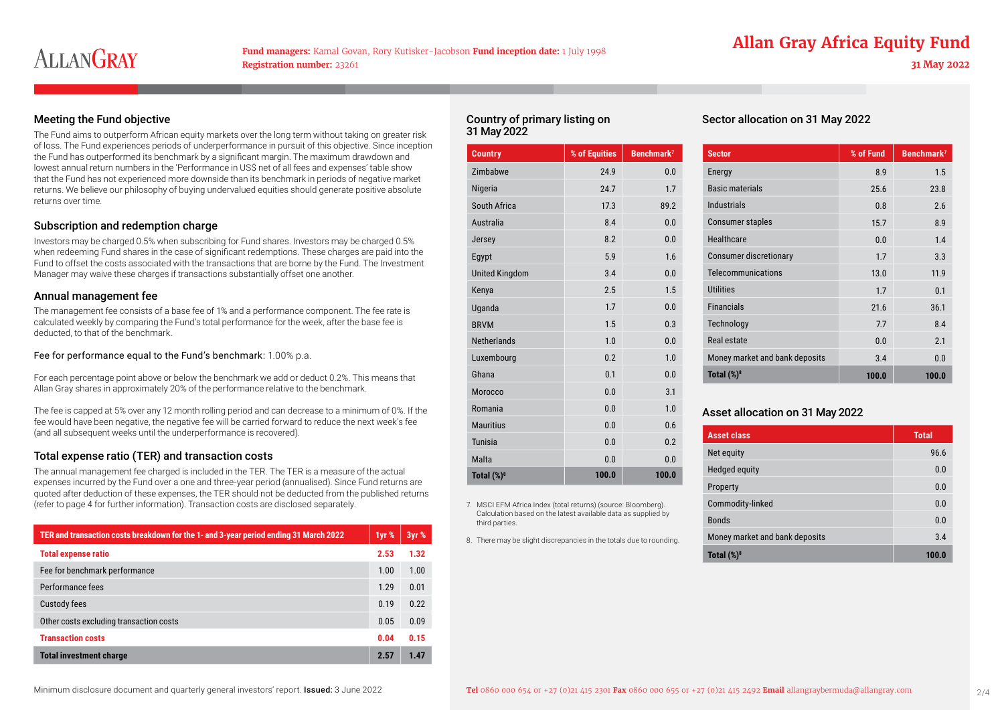### Meeting the Fund objective

The Fund aims to outperform African equity markets over the long term without taking on greater risk of loss. The Fund experiences periods of underperformance in pursuit of this objective. Since inception the Fund has outperformed its benchmark by a significant margin. The maximum drawdown and lowest annual return numbers in the 'Performance in US\$ net of all fees and expenses' table show that the Fund has not experienced more downside than its benchmark in periods of negative market returns. We believe our philosophy of buying undervalued equities should generate positive absolute returns over time.

#### Subscription and redemption charge

Investors may be charged 0.5% when subscribing for Fund shares. Investors may be charged 0.5% when redeeming Fund shares in the case of significant redemptions. These charges are paid into the Fund to offset the costs associated with the transactions that are borne by the Fund. The Investment Manager may waive these charges if transactions substantially offset one another.

#### Annual management fee

The management fee consists of a base fee of 1% and a performance component. The fee rate is calculated weekly by comparing the Fund's total performance for the week, after the base fee is deducted, to that of the benchmark.

Fee for performance equal to the Fund's benchmark: 1.00% p.a.

For each percentage point above or below the benchmark we add or deduct 0.2%. This means that Allan Gray shares in approximately 20% of the performance relative to the benchmark.

The fee is capped at 5% over any 12 month rolling period and can decrease to a minimum of 0%. If the fee would have been negative, the negative fee will be carried forward to reduce the next week's fee (and all subsequent weeks until the underperformance is recovered).

### Total expense ratio (TER) and transaction costs

The annual management fee charged is included in the TER. The TER is a measure of the actual expenses incurred by the Fund over a one and three-year period (annualised). Since Fund returns are quoted after deduction of these expenses, the TER should not be deducted from the published returns (refer to page 4 for further information). Transaction costs are disclosed separately.

| TER and transaction costs breakdown for the 1- and 3-year period ending 31 March 2022 | 1yr % | 3yr % |
|---------------------------------------------------------------------------------------|-------|-------|
| <b>Total expense ratio</b>                                                            | 2.53  | 1.32  |
| Fee for benchmark performance                                                         | 1.00  | 1.00  |
| Performance fees                                                                      | 1.29  | 0.01  |
| <b>Custody fees</b>                                                                   | 0.19  | 0.22  |
| Other costs excluding transaction costs                                               | 0.05  | 0.09  |
| <b>Transaction costs</b>                                                              | 0.04  | 0.15  |
| <b>Total investment charge</b>                                                        | 2.57  | 1.47  |

#### Country of primary listing on 31 May 2022

| <b>Country</b>        | % of Equities | Benchmark <sup>7</sup> |
|-----------------------|---------------|------------------------|
| Zimbabwe              | 24.9          | 0.0                    |
| Nigeria               | 24.7          | 1.7                    |
| South Africa          | 17.3          | 89.2                   |
| Australia             | 8.4           | 0.0                    |
| Jersey                | 8.2           | 0.0                    |
| Egypt                 | 5.9           | 1.6                    |
| <b>United Kingdom</b> | 3.4           | 0.0                    |
| Kenya                 | 2.5           | 1.5                    |
| Uganda                | 1.7           | 0.0                    |
| <b>BRVM</b>           | 1.5           | 0.3                    |
| <b>Netherlands</b>    | 1.0           | 0.0                    |
| Luxembourg            | 0.2           | 1.0                    |
| Ghana                 | 0.1           | 0.0                    |
| Morocco               | 0.0           | 3.1                    |
| Romania               | 0.0           | 1.0                    |
| <b>Mauritius</b>      | 0.0           | 0.6                    |
| <b>Tunisia</b>        | 0.0           | 0.2                    |
| Malta                 | 0.0           | 0.0                    |
| Total $(\%)^8$        | 100.0         | 100.0                  |

7. MSCI EFM Africa Index (total returns) (source: Bloomberg). Calculation based on the latest available data as supplied by

8. There may be slight discrepancies in the totals due to rounding.

third parties.

Sector allocation on 31 May 2022

| <b>Sector</b>                  | % of Fund | Benchmark <sup>7</sup> |
|--------------------------------|-----------|------------------------|
| Energy                         | 8.9       | 1.5                    |
| <b>Basic materials</b>         | 25.6      | 23.8                   |
| Industrials                    | 0.8       | 2.6                    |
| <b>Consumer staples</b>        | 15.7      | 8.9                    |
| Healthcare                     | 0.0       | 1.4                    |
| Consumer discretionary         | 1.7       | 3.3                    |
| Telecommunications             | 13.0      | 11.9                   |
| <b>Utilities</b>               | 1.7       | 0.1                    |
| <b>Financials</b>              | 21.6      | 36.1                   |
| Technology                     | 77        | 8.4                    |
| Real estate                    | 0.0       | 2.1                    |
| Money market and bank deposits | 3.4       | 0.0                    |
| Total $(\%)^8$                 | 100.0     | 100.0                  |

### Asset allocation on 31 May 2022

| <b>Asset class</b>             | <b>Total</b> |
|--------------------------------|--------------|
| Net equity                     | 96.6         |
| Hedged equity                  | 0.0          |
| Property                       | 0.0          |
| Commodity-linked               | 0.0          |
| <b>Bonds</b>                   | 0.0          |
| Money market and bank deposits | 3.4          |
| Total $(\%)^8$                 | 100.0        |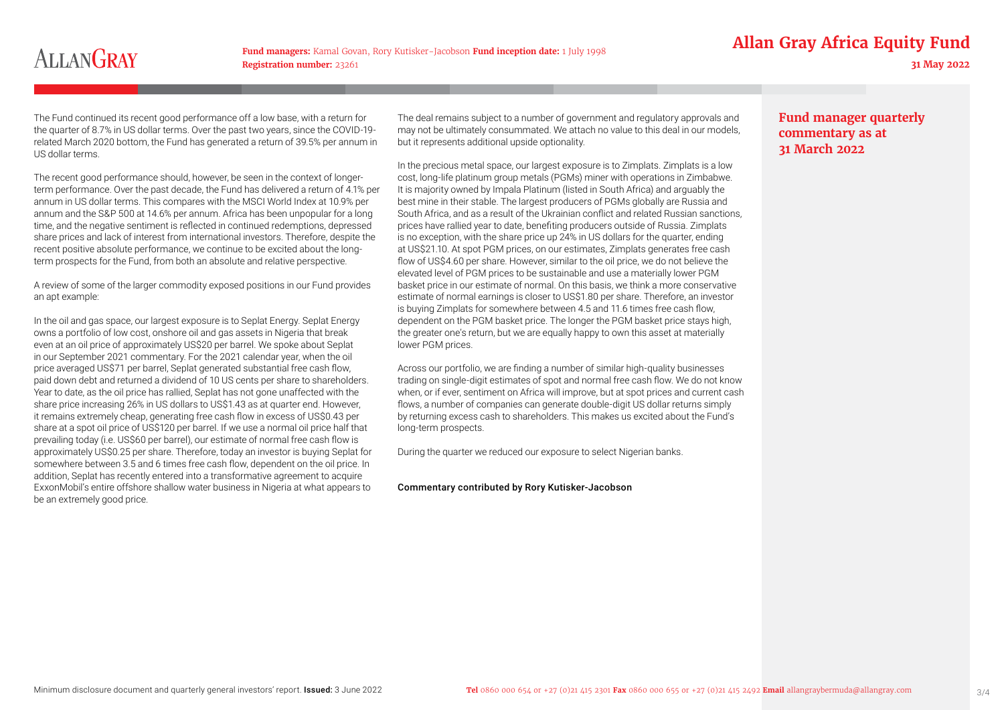**Fund managers:** Kamal Govan, Rory Kutisker-Jacobson **Fund inception date:** 1 July 1998 **Allan Gray Africa Equity Fund** 

The Fund continued its recent good performance off a low base, with a return for the quarter of 8.7% in US dollar terms. Over the past two years, since the COVID-19 related March 2020 bottom, the Fund has generated a return of 39.5% per annum in US dollar terms.

The recent good performance should, however, be seen in the context of longerterm performance. Over the past decade, the Fund has delivered a return of 4.1% per annum in US dollar terms. This compares with the MSCI World Index at 10.9% per annum and the S&P 500 at 14.6% per annum. Africa has been unpopular for a long time, and the negative sentiment is reflected in continued redemptions, depressed share prices and lack of interest from international investors. Therefore, despite the recent positive absolute performance, we continue to be excited about the longterm prospects for the Fund, from both an absolute and relative perspective.

A review of some of the larger commodity exposed positions in our Fund provides an apt example:

In the oil and gas space, our largest exposure is to Seplat Energy. Seplat Energy owns a portfolio of low cost, onshore oil and gas assets in Nigeria that break even at an oil price of approximately US\$20 per barrel. We spoke about Seplat in our September 2021 commentary. For the 2021 calendar year, when the oil price averaged US\$71 per barrel, Seplat generated substantial free cash flow, paid down debt and returned a dividend of 10 US cents per share to shareholders. Year to date, as the oil price has rallied, Seplat has not gone unaffected with the share price increasing 26% in US dollars to US\$1.43 as at quarter end. However, it remains extremely cheap, generating free cash flow in excess of US\$0.43 per share at a spot oil price of US\$120 per barrel. If we use a normal oil price half that prevailing today (i.e. US\$60 per barrel), our estimate of normal free cash flow is approximately US\$0.25 per share. Therefore, today an investor is buying Seplat for somewhere between 3.5 and 6 times free cash flow, dependent on the oil price. In addition, Seplat has recently entered into a transformative agreement to acquire ExxonMobil's entire offshore shallow water business in Nigeria at what appears to be an extremely good price.

The deal remains subject to a number of government and regulatory approvals and may not be ultimately consummated. We attach no value to this deal in our models, but it represents additional upside optionality.

In the precious metal space, our largest exposure is to Zimplats. Zimplats is a low cost, long-life platinum group metals (PGMs) miner with operations in Zimbabwe. It is majority owned by Impala Platinum (listed in South Africa) and arguably the best mine in their stable. The largest producers of PGMs globally are Russia and South Africa, and as a result of the Ukrainian conflict and related Russian sanctions, prices have rallied year to date, benefiting producers outside of Russia. Zimplats is no exception, with the share price up 24% in US dollars for the quarter, ending at US\$21.10. At spot PGM prices, on our estimates, Zimplats generates free cash flow of US\$4.60 per share. However, similar to the oil price, we do not believe the elevated level of PGM prices to be sustainable and use a materially lower PGM basket price in our estimate of normal. On this basis, we think a more conservative estimate of normal earnings is closer to US\$1.80 per share. Therefore, an investor is buying Zimplats for somewhere between 4.5 and 11.6 times free cash flow, dependent on the PGM basket price. The longer the PGM basket price stays high, the greater one's return, but we are equally happy to own this asset at materially lower PGM prices.

Across our portfolio, we are finding a number of similar high-quality businesses trading on single-digit estimates of spot and normal free cash flow. We do not know when, or if ever, sentiment on Africa will improve, but at spot prices and current cash flows, a number of companies can generate double-digit US dollar returns simply by returning excess cash to shareholders. This makes us excited about the Fund's long-term prospects.

During the quarter we reduced our exposure to select Nigerian banks.

#### Commentary contributed by Rory Kutisker-Jacobson

# **Fund manager quarterly commentary as at 31 March 2022**